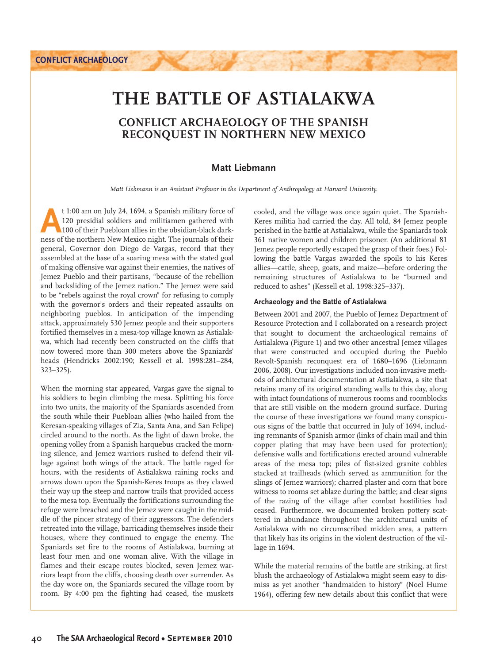# **THE BATTLE OF ASTIALAKWA**

## **CONFLICT ARCHAEOLOGY OF THE SPANISH RECONQUEST IN NORTHERN NEW MEXICO**

## **Matt Liebmann**

*Matt Liebmann is an Assistant Professor in the Department of Anthropology at Harvard University.*

<sup>t</sup> 1:00 am on July 24, 1694, a Spanish military force of 120 presidial soldiers and militiamen gathered with 100 of their Puebloan allies in the obsidian-black darkness of the northern New Mexico night. The journals of th 120 presidial soldiers and militiamen gathered with 100 of their Puebloan allies in the obsidian-black darkness of the northern New Mexico night. The journals of their general, Governor don Diego de Vargas, record that they assembled at the base of a soaring mesa with the stated goal of making offensive war against their enemies, the natives of Jemez Pueblo and their partisans, "because of the rebellion and backsliding of the Jemez nation." The Jemez were said to be "rebels against the royal crown" for refusing to comply with the governor's orders and their repeated assaults on neighboring pueblos. In anticipation of the impending attack, approximately 530 Jemez people and their supporters fortified themselves in a mesa-top village known as Astialakwa, which had recently been constructed on the cliffs that now towered more than 300 meters above the Spaniards' heads (Hendricks 2002:190; Kessell et al. 1998:281–284, 323–325).

When the morning star appeared, Vargas gave the signal to his soldiers to begin climbing the mesa. Splitting his force into two units, the majority of the Spaniards ascended from the south while their Puebloan allies (who hailed from the Keresan- speaking villages of Zia, Santa Ana, and San Felipe) circled around to the north. As the light of dawn broke, the opening volley from a Spanish harquebus cracked the morning silence, and Jemez warriors rushed to defend their village against both wings of the attack. The battle raged for hours, with the residents of Astialakwa raining rocks and arrows down upon the Spanish- Keres troops as they clawed their way up the steep and narrow trails that provided access to the mesa top. Eventually the fortifications surrounding the refuge were breached and the Jemez were caught in the middle of the pincer strategy of their aggressors. The defenders retreated into the village, barricading themselves inside their houses, where they continued to engage the enemy. The Spaniards set fire to the rooms of Astialakwa, burning at least four men and one woman alive. With the village in flames and their escape routes blocked, seven Jemez warriors leapt from the cliffs, choosing death over surrender. As the day wore on, the Spaniards secured the village room by room. By 4:00 pm the fighting had ceased, the muskets

cooled, and the village was once again quiet. The Spanish- Keres militia had carried the day. All told, 84 Jemez people perished in the battle at Astialakwa, while the Spaniards took 361 native women and children prisoner. (An additional 81 Jemez people reportedly escaped the grasp of their foes.) Following the battle Vargas awarded the spoils to his Keres allies— cattle, sheep, goats, and maize— before ordering the remaining structures of Astialakwa to be "burned and reduced to ashes" (Kessell et al. 1998:325–337).

#### **Archaeology and the Battle of Astialakwa**

Between 2001 and 2007, the Pueblo of Jemez Department of Resource Protection and I collaborated on a research project that sought to document the archaeological remains of Astialakwa (Figure 1) and two other ancestral Jemez villages that were constructed and occupied during the Pueblo Revolt- Spanish reconquest era of 1680–1696 (Liebmann 2006, 2008). Our investigations included non- invasive methods of architectural documentation at Astialakwa, a site that retains many of its original standing walls to this day, along with intact foundations of numerous rooms and roomblocks that are still visible on the modern ground surface. During the course of these investigations we found many conspicuous signs of the battle that occurred in July of 1694, including remnants of Spanish armor (links of chain mail and thin copper plating that may have been used for protection); defensive walls and fortifications erected around vulnerable areas of the mesa top; piles of fist-sized granite cobbles stacked at trailheads (which served as ammunition for the slings of Jemez warriors); charred plaster and corn that bore witness to rooms set ablaze during the battle; and clear signs of the razing of the village after combat hostilities had ceased. Furthermore, we documented broken pottery scattered in abundance throughout the architectural units of Astialakwa with no circumscribed midden area, a pattern that likely has its origins in the violent destruction of the village in 1694.

While the material remains of the battle are striking, at first blush the archaeology of Astialakwa might seem easy to dismiss as yet another "handmaiden to history" (Noel Hume 1964), offering few new details about this conflict that were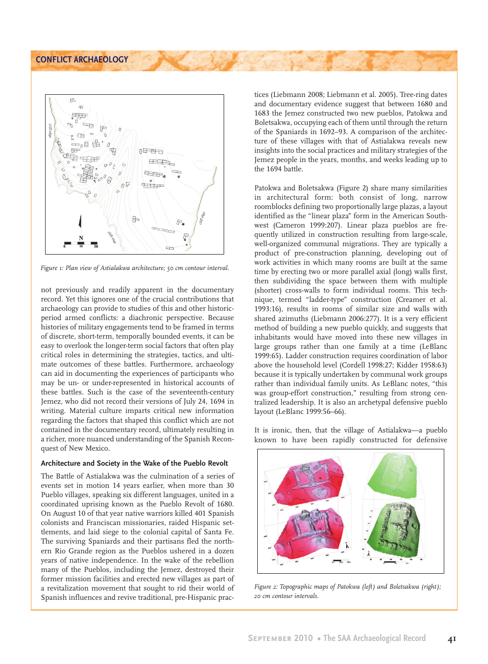**CONFLICT ARCHAEOLOGY**



*Figure 1: Plan view of Astialakwa architecture; 50 cm contour interval.*

not previously and readily apparent in the documentary record. Yet this ignores one of the crucial contributions that archaeology can provide to studies of this and other historic period armed conflicts: a diachronic perspective. Because histories of military engagements tend to be framed in terms of discrete, short- term, temporally bounded events, it can be easy to overlook the longer-term social factors that often play critical roles in determining the strategies, tactics, and ultimate outcomes of these battles. Furthermore, archaeology can aid in documenting the experiences of participants who may be un- or under-represented in historical accounts of these battles. Such is the case of the seventeenth-century Jemez, who did not record their versions of July 24, 1694 in writing. Material culture imparts critical new information regarding the factors that shaped this conflict which are not contained in the documentary record, ultimately resulting in a richer, more nuanced understanding of the Spanish Reconquest of New Mexico.

#### **Architecture and Society in the Wake of the Pueblo Revolt**

The Battle of Astialakwa was the culmination of a series of events set in motion 14 years earlier, when more than 30 Pueblo villages, speaking six different languages, united in a coordinated uprising known as the Pueblo Revolt of 1680. On August 10 of that year native warriors killed 401 Spanish colonists and Franciscan missionaries, raided Hispanic settlements, and laid siege to the colonial capital of Santa Fe. The surviving Spaniards and their partisans fled the northern Rio Grande region as the Pueblos ushered in a dozen years of native independence. In the wake of the rebellion many of the Pueblos, including the Jemez, destroyed their former mission facilities and erected new villages as part of a revitalization movement that sought to rid their world of Spanish influences and revive traditional, pre-Hispanic prac-

tices (Liebmann 2008; Liebmann et al. 2005). Tree- ring dates and documentary evidence suggest that between 1680 and 1683 the Jemez constructed two new pueblos, Patokwa and Boletsakwa, occupying each of them until through the return of the Spaniards in 1692–93. A comparison of the architecture of these villages with that of Astialakwa reveals new insights into the social practices and military strategies of the Jemez people in the years, months, and weeks leading up to the 1694 battle.

Patokwa and Boletsakwa (Figure 2) share many similarities in architectural form: both consist of long, narrow roomblocks defining two proportionally large plazas, a layout identified as the "linear plaza" form in the American Southwest (Cameron 1999:207). Linear plaza pueblos are frequently utilized in construction resulting from large-scale, well-organized communal migrations. They are typically a product of pre- construction planning, developing out of work activities in which many rooms are built at the same time by erecting two or more parallel axial (long) walls first, then subdividing the space between them with multiple (shorter) cross-walls to form individual rooms. This technique, termed "ladder-type" construction (Creamer et al. 1993:16), results in rooms of similar size and walls with shared azimuths (Liebmann 2006:277). It is a very efficient method of building a new pueblo quickly, and suggests that inhabitants would have moved into these new villages in large groups rather than one family at a time (LeBlanc 1999:65). Ladder construction requires coordination of labor above the household level (Cordell 1998:27; Kidder 1958:63) because it is typically undertaken by communal work groups rather than individual family units. As LeBlanc notes, "this was group-effort construction," resulting from strong centralized leadership. It is also an archetypal defensive pueblo layout (LeBlanc 1999:56–66).

It is ironic, then, that the village of Astialakwa— a pueblo known to have been rapidly constructed for defensive



*Figure 2: Topographic maps of Patokwa (left) and Boletsakwa (right); 20 cm contour intervals.*